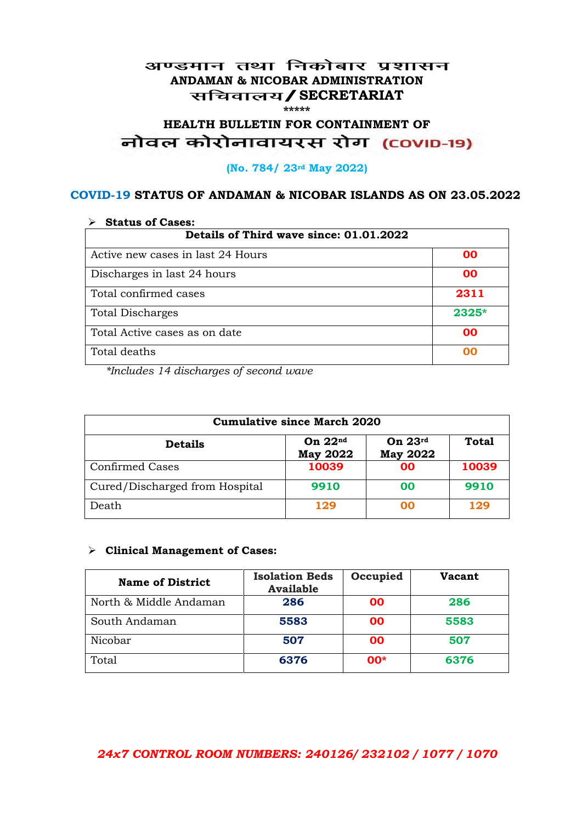## अण्डमान तथा निकोबार प्रशासन **ANDAMAN & NICOBAR ADMINISTRATION /SECRETARIAT \*\*\*\*\***

# HEALTH BULLETIN FOR CONTAINMENT OF<br>बोवल कोरोनावायरस रोग (COVID-19)

### **(No. 784/ 23rd May 2022)**

## **COVID-19 STATUS OF ANDAMAN & NICOBAR ISLANDS AS ON 23.05.2022**

| <b>Status of Cases:</b>                 |           |  |
|-----------------------------------------|-----------|--|
| Details of Third wave since: 01.01.2022 |           |  |
| Active new cases in last 24 Hours       | 00        |  |
| Discharges in last 24 hours             | 00        |  |
| Total confirmed cases                   | 2311      |  |
| <b>Total Discharges</b>                 | $2325*$   |  |
| Total Active cases as on date           | <b>OO</b> |  |
| Total deaths                            | OO        |  |

*\*Includes 14 discharges of second wave*

| <b>Cumulative since March 2020</b> |                              |                              |              |
|------------------------------------|------------------------------|------------------------------|--------------|
| <b>Details</b>                     | On $22nd$<br><b>May 2022</b> | On $23rd$<br><b>May 2022</b> | <b>Total</b> |
| <b>Confirmed Cases</b>             | 10039                        | 00                           | 10039        |
| Cured/Discharged from Hospital     | 9910                         | 00                           | 9910         |
| Death                              | 129                          | 00                           | 129          |

#### **Clinical Management of Cases:**

| <b>Name of District</b> | <b>Isolation Beds</b><br><b>Available</b> | Occupied | <b>Vacant</b> |
|-------------------------|-------------------------------------------|----------|---------------|
| North & Middle Andaman  | 286                                       | 00       | 286           |
| South Andaman           | 5583                                      | 00       | 5583          |
| Nicobar                 | 507                                       | 00       | 507           |
| Total                   | 6376                                      | $00*$    | 6376          |

## *24x7 CONTROL ROOM NUMBERS: 240126/ 232102 / 1077 / 1070*